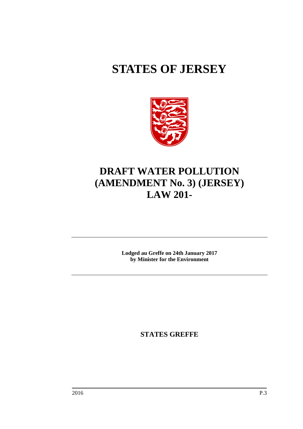# **STATES OF JERSEY**



# **DRAFT WATER POLLUTION (AMENDMENT No. 3) (JERSEY) LAW 201-**

**Lodged au Greffe on 24th January 2017 by Minister for the Environment**

**STATES GREFFE**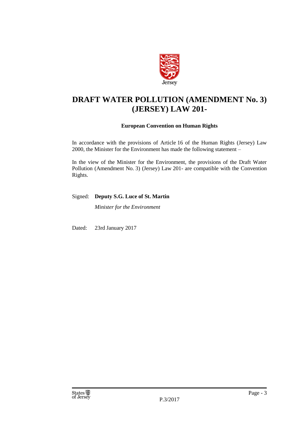

## **DRAFT WATER POLLUTION (AMENDMENT No. 3) (JERSEY) LAW 201-**

## **European Convention on Human Rights**

In accordance with the provisions of Article 16 of the Human Rights (Jersey) Law 2000, the Minister for the Environment has made the following statement –

In the view of the Minister for the Environment, the provisions of the Draft Water Pollution (Amendment No. 3) (Jersey) Law 201- are compatible with the Convention Rights.

## Signed: **Deputy S.G. Luce of St. Martin**

*Minister for the Environment*

Dated: 23rd January 2017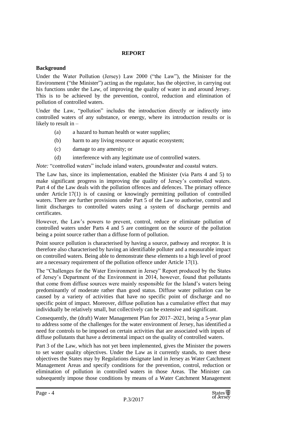## **REPORT**

## **Background**

Under the Water Pollution (Jersey) Law 2000 ("the Law"), the Minister for the Environment ("the Minister") acting as the regulator, has the objective, in carrying out his functions under the Law, of improving the quality of water in and around Jersey. This is to be achieved by the prevention, control, reduction and elimination of pollution of controlled waters.

Under the Law, "pollution" includes the introduction directly or indirectly into controlled waters of any substance, or energy, where its introduction results or is likely to result in –

- (a) a hazard to human health or water supplies;
- (b) harm to any living resource or aquatic ecosystem;
- (c) damage to any amenity; or
- (d) interference with any legitimate use of controlled waters.

*Note:* "controlled waters" include inland waters, groundwater and coastal waters.

The Law has, since its implementation, enabled the Minister (via Parts 4 and 5) to make significant progress in improving the quality of Jersey's controlled waters. Part 4 of the Law deals with the pollution offences and defences. The primary offence under Article 17(1) is of causing or knowingly permitting pollution of controlled waters. There are further provisions under Part 5 of the Law to authorise, control and limit discharges to controlled waters using a system of discharge permits and certificates.

However, the Law's powers to prevent, control, reduce or eliminate pollution of controlled waters under Parts 4 and 5 are contingent on the source of the pollution being a point source rather than a diffuse form of pollution.

Point source pollution is characterised by having a source, pathway and receptor. It is therefore also characterised by having an identifiable polluter and a measurable impact on controlled waters. Being able to demonstrate these elements to a high level of proof are a necessary requirement of the pollution offence under Article 17(1).

The "Challenges for the Water Environment in Jersey" Report produced by the States of Jersey's Department of the Environment in 2014, however, found that pollutants that come from diffuse sources were mainly responsible for the Island's waters being predominantly of moderate rather than good status. Diffuse water pollution can be caused by a variety of activities that have no specific point of discharge and no specific point of impact. Moreover, diffuse pollution has a cumulative effect that may individually be relatively small, but collectively can be extensive and significant.

Consequently, the (draft) Water Management Plan for 2017–2021, being a 5-year plan to address some of the challenges for the water environment of Jersey, has identified a need for controls to be imposed on certain activities that are associated with inputs of diffuse pollutants that have a detrimental impact on the quality of controlled waters.

Part 3 of the Law, which has not yet been implemented, gives the Minister the powers to set water quality objectives. Under the Law as it currently stands, to meet these objectives the States may by Regulations designate land in Jersey as Water Catchment Management Areas and specify conditions for the prevention, control, reduction or elimination of pollution in controlled waters in those Areas. The Minister can subsequently impose those conditions by means of a Water Catchment Management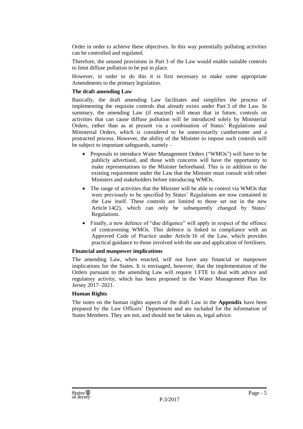Order in order to achieve these objectives. In this way potentially polluting activities can be controlled and regulated.

Therefore, the unused provisions in Part 3 of the Law would enable suitable controls to limit diffuse pollution to be put in place.

However, in order to do this it is first necessary to make some appropriate Amendments to the primary legislation.

## **The draft amending Law**

Basically, the draft amending Law facilitates and simplifies the process of implementing the requisite controls that already exists under Part 3 of the Law. In summary, the amending Law (if enacted) will mean that in future, controls on activities that can cause diffuse pollution will be introduced solely by Ministerial Orders, rather than as at present via a combination of States' Regulations and Ministerial Orders, which is considered to be unnecessarily cumbersome and a protracted process. However, the ability of the Minister to impose such controls will be subject to important safeguards, namely –

- Proposals to introduce Water Management Orders ("WMOs") will have to be publicly advertised, and those with concerns will have the opportunity to make representations to the Minister beforehand. This is in addition to the existing requirement under the Law that the Minister must consult with other Ministers and stakeholders before introducing WMOs.
- The range of activities that the Minister will be able to control via WMOs that were previously to be specified by States' Regulations are now contained in the Law itself. These controls are limited to those set out in the new Article 14(2), which can only be subsequently changed by States' Regulations.
- Finally, a new defence of "due diligence" will apply in respect of the offence of contravening WMOs. This defence is linked to compliance with an Approved Code of Practice under Article 16 of the Law, which provides practical guidance to those involved with the use and application of fertilisers.

#### **Financial and manpower implications**

The amending Law, when enacted, will not have any financial or manpower implications for the States. It is envisaged, however, that the implementation of the Orders pursuant to the amending Law will require 1 FTE to deal with advice and regulatory activity, which has been proposed in the Water Management Plan for Jersey 2017–2021.

## **Human Rights**

The notes on the human rights aspects of the draft Law in the **Appendix** have been prepared by the Law Officers' Department and are included for the information of States Members. They are not, and should not be taken as, legal advice.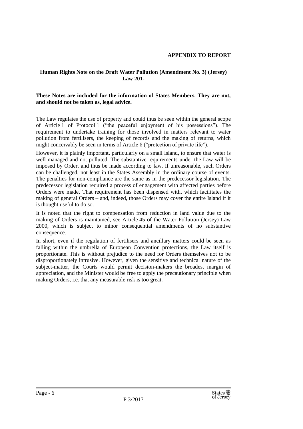## **Human Rights Note on the Draft Water Pollution (Amendment No. 3) (Jersey) Law 201-**

## **These Notes are included for the information of States Members. They are not, and should not be taken as, legal advice.**

The Law regulates the use of property and could thus be seen within the general scope of Article 1 of Protocol 1 ("the peaceful enjoyment of his possessions"). The requirement to undertake training for those involved in matters relevant to water pollution from fertilisers, the keeping of records and the making of returns, which might conceivably be seen in terms of Article 8 ("protection of private life").

However, it is plainly important, particularly on a small Island, to ensure that water is well managed and not polluted. The substantive requirements under the Law will be imposed by Order, and thus be made according to law. If unreasonable, such Orders can be challenged, not least in the States Assembly in the ordinary course of events. The penalties for non-compliance are the same as in the predecessor legislation. The predecessor legislation required a process of engagement with affected parties before Orders were made. That requirement has been dispensed with, which facilitates the making of general Orders – and, indeed, those Orders may cover the entire Island if it is thought useful to do so.

It is noted that the right to compensation from reduction in land value due to the making of Orders is maintained, see Article 45 of the Water Pollution (Jersey) Law 2000, which is subject to minor consequential amendments of no substantive consequence.

In short, even if the regulation of fertilisers and ancillary matters could be seen as falling within the umbrella of European Convention protections, the Law itself is proportionate. This is without prejudice to the need for Orders themselves not to be disproportionately intrusive. However, given the sensitive and technical nature of the subject-matter, the Courts would permit decision-makers the broadest margin of appreciation, and the Minister would be free to apply the precautionary principle when making Orders, i.e. that any measurable risk is too great.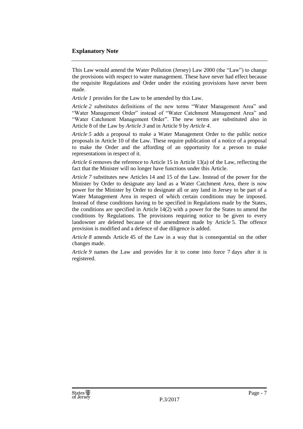## **Explanatory Note**

This Law would amend the Water Pollution (Jersey) Law 2000 (the "Law") to change the provisions with respect to water management. These have never had effect because the requisite Regulations and Order under the existing provisions have never been made.

*Article 1* provides for the Law to be amended by this Law.

*Article 2* substitutes definitions of the new terms "Water Management Area" and "Water Management Order" instead of "Water Catchment Management Area" and "Water Catchment Management Order". The new terms are substituted also in Article 8 of the Law by *Article 3* and in Article 9 by *Article 4*.

*Article 5* adds a proposal to make a Water Management Order to the public notice proposals in Article 10 of the Law. These require publication of a notice of a proposal to make the Order and the affording of an opportunity for a person to make representations in respect of it.

*Article 6* removes the reference to Article 15 in Article 13(a) of the Law, reflecting the fact that the Minister will no longer have functions under this Article.

*Article 7* substitutes new Articles 14 and 15 of the Law. Instead of the power for the Minister by Order to designate any land as a Water Catchment Area, there is now power for the Minister by Order to designate all or any land in Jersey to be part of a Water Management Area in respect of which certain conditions may be imposed. Instead of these conditions having to be specified in Regulations made by the States, the conditions are specified in Article 14(2) with a power for the States to amend the conditions by Regulations. The provisions requiring notice to be given to every landowner are deleted because of the amendment made by Article 5. The offence provision is modified and a defence of due diligence is added.

*Article 8* amends Article 45 of the Law in a way that is consequential on the other changes made.

*Article 9* names the Law and provides for it to come into force 7 days after it is registered.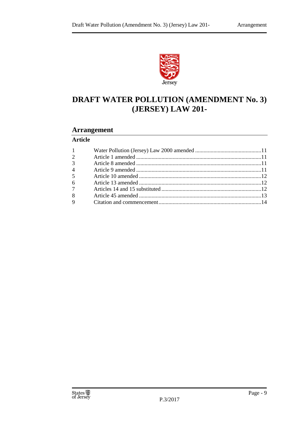

# **DRAFT WATER POLLUTION (AMENDMENT No. 3) (JERSEY) LAW 201-**

## **Arrangement**

## **Article**

| $1 \qquad \qquad$ |  |
|-------------------|--|
| $\overline{2}$    |  |
| 3 <sup>1</sup>    |  |
| $4 \quad$         |  |
| 5 <sup>5</sup>    |  |
| $6\degree$        |  |
| $7\overline{ }$   |  |
| 8                 |  |
| $9 \quad$         |  |
|                   |  |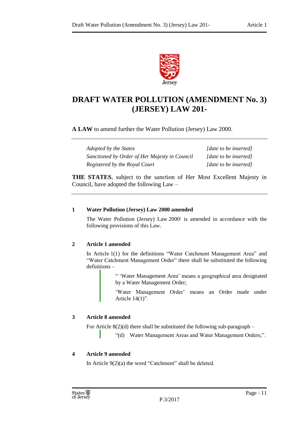

## **DRAFT WATER POLLUTION (AMENDMENT No. 3) (JERSEY) LAW 201-**

**A LAW** to amend further the Water Pollution (Jersey) Law 2000.

*Adopted by the States [date to be inserted] Sanctioned by Order of Her Majesty in Council [date to be inserted] Registered by the Royal Court [date to be inserted]*

**THE STATES**, subject to the sanction of Her Most Excellent Majesty in Council, have adopted the following Law –

## <span id="page-10-0"></span>**1 Water Pollution (Jersey) Law 2000 amended**

The Water Pollution (Jersey) Law  $2000<sup>1</sup>$  is amended in accordance with the following provisions of this Law.

## <span id="page-10-1"></span>**2 Article 1 amended**

In Article 1(1) for the definitions "Water Catchment Management Area" and "Water Catchment Management Order" there shall be substituted the following definitions –

> " 'Water Management Area' means a geographical area designated by a Water Management Order;

> 'Water Management Order' means an Order made under Article 14(1)".

## <span id="page-10-2"></span>**3 Article 8 amended**

For Article  $8(2)(d)$  there shall be substituted the following sub-paragraph –

"(d) Water Management Areas and Water Management Orders;".

## <span id="page-10-3"></span>**4 Article 9 amended**

In Article 9(2)(a) the word "Catchment" shall be deleted.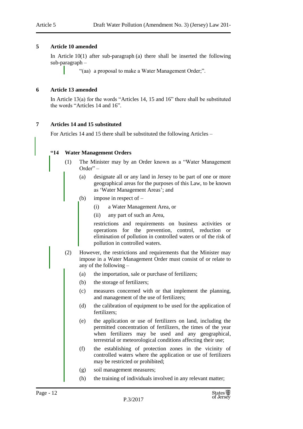## <span id="page-11-0"></span>**5 Article 10 amended**

In Article 10(1) after sub-paragraph (a) there shall be inserted the following sub-paragraph –

"(aa) a proposal to make a Water Management Order;".

## <span id="page-11-1"></span>**6 Article 13 amended**

In Article 13(a) for the words "Articles 14, 15 and 16" there shall be substituted the words "Articles 14 and 16".

## <span id="page-11-2"></span>**7 Articles 14 and 15 substituted**

For Articles 14 and 15 there shall be substituted the following Articles –

## **"14 Water Management Orders**

- (1) The Minister may by an Order known as a "Water Management Order" –
	- (a) designate all or any land in Jersey to be part of one or more geographical areas for the purposes of this Law, to be known as 'Water Management Areas'; and
	- (b) impose in respect of
		- (i) a Water Management Area, or
		- (ii) any part of such an Area,

restrictions and requirements on business activities or operations for the prevention, control, reduction or elimination of pollution in controlled waters or of the risk of pollution in controlled waters.

- (2) However, the restrictions and requirements that the Minister may impose in a Water Management Order must consist of or relate to any of the following –
	- (a) the importation, sale or purchase of fertilizers;
	- (b) the storage of fertilizers;
	- (c) measures concerned with or that implement the planning, and management of the use of fertilizers;
	- (d) the calibration of equipment to be used for the application of fertilizers;
	- (e) the application or use of fertilizers on land, including the permitted concentration of fertilizers, the times of the year when fertilizers may be used and any geographical, terrestrial or meteorological conditions affecting their use;
	- (f) the establishing of protection zones in the vicinity of controlled waters where the application or use of fertilizers may be restricted or prohibited;
	- (g) soil management measures;
	- (h) the training of individuals involved in any relevant matter;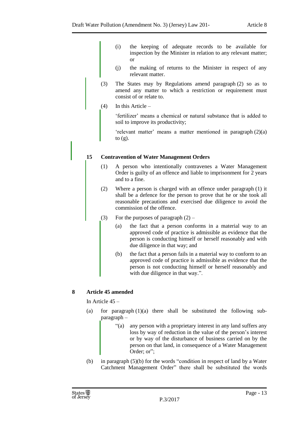- (i) the keeping of adequate records to be available for inspection by the Minister in relation to any relevant matter; or
- (j) the making of returns to the Minister in respect of any relevant matter.
- (3) The States may by Regulations amend paragraph (2) so as to amend any matter to which a restriction or requirement must consist of or relate to.
- (4) In this Article –

'fertilizer' means a chemical or natural substance that is added to soil to improve its productivity;

'relevant matter' means a matter mentioned in paragraph (2)(a) to  $(g)$ .

## **15 Contravention of Water Management Orders**

- (1) A person who intentionally contravenes a Water Management Order is guilty of an offence and liable to imprisonment for 2 years and to a fine.
- (2) Where a person is charged with an offence under paragraph (1) it shall be a defence for the person to prove that he or she took all reasonable precautions and exercised due diligence to avoid the commission of the offence.
- (3) For the purposes of paragraph  $(2)$ 
	- (a) the fact that a person conforms in a material way to an approved code of practice is admissible as evidence that the person is conducting himself or herself reasonably and with due diligence in that way; and
	- (b) the fact that a person fails in a material way to conform to an approved code of practice is admissible as evidence that the person is not conducting himself or herself reasonably and with due diligence in that way.".

## <span id="page-12-0"></span>**8 Article 45 amended**

In Article 45 –

- (a) for paragraph  $(1)(a)$  there shall be substituted the following subparagraph –
	- "(a) any person with a proprietary interest in any land suffers any loss by way of reduction in the value of the person's interest or by way of the disturbance of business carried on by the person on that land, in consequence of a Water Management Order; or":
- (b) in paragraph (5)(b) for the words "condition in respect of land by a Water Catchment Management Order" there shall be substituted the words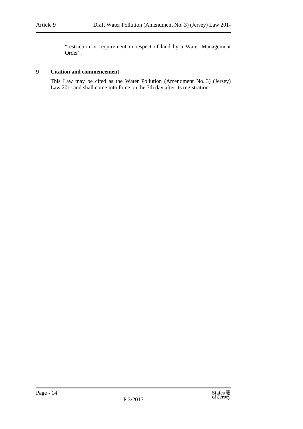"restriction or requirement in respect of land by a Water Management Order".

## <span id="page-13-0"></span>**9 Citation and commencement**

This Law may be cited as the Water Pollution (Amendment No. 3) (Jersey) Law 201- and shall come into force on the 7th day after its registration.